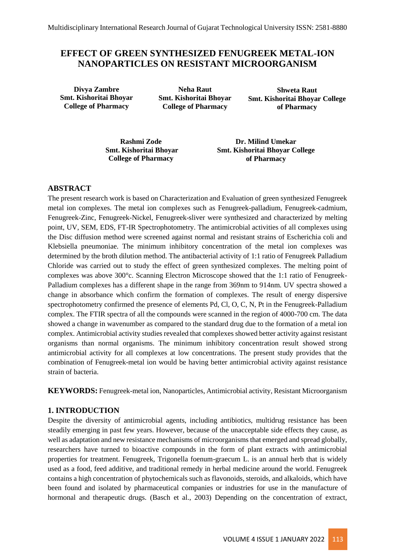# **EFFECT OF GREEN SYNTHESIZED FENUGREEK METAL-ION NANOPARTICLES ON RESISTANT MICROORGANISM**

**Divya Zambre Smt. Kishoritai Bhoyar College of Pharmacy** 

**Neha Raut Smt. Kishoritai Bhoyar College of Pharmacy** 

**Shweta Raut Smt. Kishoritai Bhoyar College of Pharmacy** 

**Rashmi Zode Smt. Kishoritai Bhoyar College of Pharmacy** 

**Dr. Milind Umekar Smt. Kishoritai Bhoyar College of Pharmacy** 

#### **ABSTRACT**

The present research work is based on Characterization and Evaluation of green synthesized Fenugreek metal ion complexes. The metal ion complexes such as Fenugreek-palladium, Fenugreek-cadmium, Fenugreek-Zinc, Fenugreek-Nickel, Fenugreek-sliver were synthesized and characterized by melting point, UV, SEM, EDS, FT-IR Spectrophotometry. The antimicrobial activities of all complexes using the Disc diffusion method were screened against normal and resistant strains of Escherichia coli and Klebsiella pneumoniae. The minimum inhibitory concentration of the metal ion complexes was determined by the broth dilution method. The antibacterial activity of 1:1 ratio of Fenugreek Palladium Chloride was carried out to study the effect of green synthesized complexes. The melting point of complexes was above 300°c. Scanning Electron Microscope showed that the 1:1 ratio of Fenugreek-Palladium complexes has a different shape in the range from 369nm to 914nm. UV spectra showed a change in absorbance which confirm the formation of complexes. The result of energy dispersive spectrophotometry confirmed the presence of elements Pd, Cl, O, C, N, Pt in the Fenugreek-Palladium complex. The FTIR spectra of all the compounds were scanned in the region of 4000-700 cm. The data showed a change in wavenumber as compared to the standard drug due to the formation of a metal ion complex. Antimicrobial activity studies revealed that complexes showed better activity against resistant organisms than normal organisms. The minimum inhibitory concentration result showed strong antimicrobial activity for all complexes at low concentrations. The present study provides that the combination of Fenugreek-metal ion would be having better antimicrobial activity against resistance strain of bacteria.

**KEYWORDS:** Fenugreek-metal ion, Nanoparticles, Antimicrobial activity, Resistant Microorganism

## **1. INTRODUCTION**

Despite the diversity of antimicrobial agents, including antibiotics, multidrug resistance has been steadily emerging in past few years. However, because of the unacceptable side effects they cause, as well as adaptation and new resistance mechanisms of microorganisms that emerged and spread globally, researchers have turned to bioactive compounds in the form of plant extracts with antimicrobial properties for treatment. Fenugreek, Trigonella foenum-graecum L. is an annual herb that is widely used as a food, feed additive, and traditional remedy in herbal medicine around the world. Fenugreek contains a high concentration of phytochemicals such as flavonoids, steroids, and alkaloids, which have been found and isolated by pharmaceutical companies or industries for use in the manufacture of hormonal and therapeutic drugs. (Basch et al., 2003) Depending on the concentration of extract,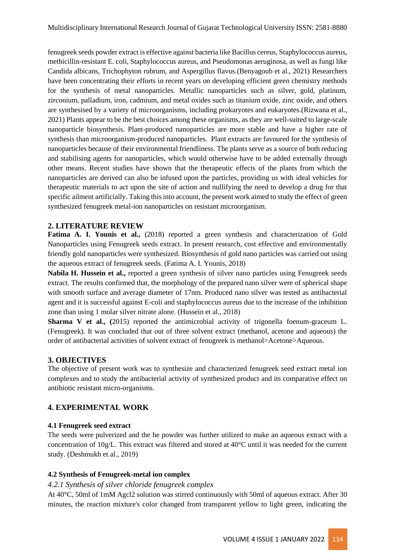fenugreek seeds powder extract is effective against bacteria like Bacillus cereus, Staphylococcus aureus, methicillin-resistant E. coli, Staphylococcus aureus, and Pseudomonas aeruginosa, as well as fungi like Candida albicans, Trichophyton rubrum, and Aspergillus flavus.(Benyagoub et al., 2021) Researchers have been concentrating their efforts in recent years on developing efficient green chemistry methods for the synthesis of metal nanoparticles. Metallic nanoparticles such as silver, gold, platinum, zirconium, palladium, iron, cadmium, and metal oxides such as titanium oxide, zinc oxide, and others are synthesised by a variety of microorganisms, including prokaryotes and eukaryotes.(Rizwana et al., 2021) Plants appear to be the best choices among these organisms, as they are well-suited to large-scale nanoparticle biosynthesis. Plant-produced nanoparticles are more stable and have a higher rate of synthesis than microorganism-produced nanoparticles. Plant extracts are favoured for the synthesis of nanoparticles because of their environmental friendliness. The plants serve as a source of both reducing and stabilising agents for nanoparticles, which would otherwise have to be added externally through other means. Recent studies have shown that the therapeutic effects of the plants from which the nanoparticles are derived can also be infused upon the particles, providing us with ideal vehicles for therapeutic materials to act upon the site of action and nullifying the need to develop a drug for that specific ailment artificially. Taking this into account, the present work aimed to study the effect of green synthesized fenugreek metal-ion nanoparticles on resistant microorganism.

#### **2. LITERATURE REVIEW**

**Fatima A. I. Younis et al.,** (2018) reported a green synthesis and characterization of Gold Nanoparticles using Fenugreek seeds extract. In present research, cost effective and environmentally friendly gold nanoparticles were synthesized. Biosynthesis of gold nano particles was carried out using the aqueous extract of fenugreek seeds. (Fatima A. I. Younis, 2018)

**Nabila H. Hussein et al.,** reported a green synthesis of silver nano particles using Fenugreek seeds extract. The results confirmed that, the morphology of the prepared nano silver were of spherical shape with smooth surface and average diameter of 17nm. Produced nano silver was tested as antibacterial agent and it is successful against E-coli and staphylococcus aureus due to the increase of the inhibition zone than using 1 molar silver nitrate alone. (Hussein et al., 2018)

**Sharma V et al.,** (2015) reported the antimicrobial activity of trigonella foenum-graceum L. (Fenugreek). It was concluded that out of three solvent extract (methanol, acetone and aqueous) the order of antibacterial activities of solvent extract of fenugreek is methanol>Acetone>Aqueous.

## **3. OBJECTIVES**

The objective of present work was to synthesize and characterized fenugreek seed extract metal ion complexes and to study the antibacterial activity of synthesized product and its comparative effect on antibiotic resistant micro-organisms.

## **4. EXPERIMENTAL WORK**

#### **4.1 Fenugreek seed extract**

The seeds were pulverized and the he powder was further utilized to make an aqueous extract with a concentration of 10g/L. This extract was filtered and stored at 40°C until it was needed for the current study. (Deshmukh et al., 2019)

#### **4.2 Synthesis of Fenugreek-metal ion complex**

#### *4.2.1 Synthesis of silver chloride fenugreek complex*

At 40°C, 50ml of 1mM Agcl2 solution was stirred continuously with 50ml of aqueous extract. After 30 minutes, the reaction mixture's color changed from transparent yellow to light green, indicating the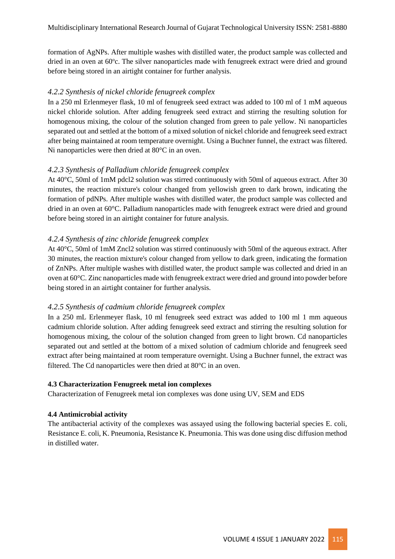formation of AgNPs. After multiple washes with distilled water, the product sample was collected and dried in an oven at 60°c. The silver nanoparticles made with fenugreek extract were dried and ground before being stored in an airtight container for further analysis.

## *4.2.2 Synthesis of nickel chloride fenugreek complex*

In a 250 ml Erlenmeyer flask, 10 ml of fenugreek seed extract was added to 100 ml of 1 mM aqueous nickel chloride solution. After adding fenugreek seed extract and stirring the resulting solution for homogenous mixing, the colour of the solution changed from green to pale yellow. Ni nanoparticles separated out and settled at the bottom of a mixed solution of nickel chloride and fenugreek seed extract after being maintained at room temperature overnight. Using a Buchner funnel, the extract was filtered. Ni nanoparticles were then dried at 80°C in an oven.

# *4.2.3 Synthesis of Palladium chloride fenugreek complex*

At 40°C, 50ml of 1mM pdcl2 solution was stirred continuously with 50ml of aqueous extract. After 30 minutes, the reaction mixture's colour changed from yellowish green to dark brown, indicating the formation of pdNPs. After multiple washes with distilled water, the product sample was collected and dried in an oven at 60°C. Palladium nanoparticles made with fenugreek extract were dried and ground before being stored in an airtight container for future analysis.

# *4.2.4 Synthesis of zinc chloride fenugreek complex*

At 40°C, 50ml of 1mM Zncl2 solution was stirred continuously with 50ml of the aqueous extract. After 30 minutes, the reaction mixture's colour changed from yellow to dark green, indicating the formation of ZnNPs. After multiple washes with distilled water, the product sample was collected and dried in an oven at 60°C. Zinc nanoparticles made with fenugreek extract were dried and ground into powder before being stored in an airtight container for further analysis.

## *4.2.5 Synthesis of cadmium chloride fenugreek complex*

In a 250 mL Erlenmeyer flask, 10 ml fenugreek seed extract was added to 100 ml 1 mm aqueous cadmium chloride solution. After adding fenugreek seed extract and stirring the resulting solution for homogenous mixing, the colour of the solution changed from green to light brown. Cd nanoparticles separated out and settled at the bottom of a mixed solution of cadmium chloride and fenugreek seed extract after being maintained at room temperature overnight. Using a Buchner funnel, the extract was filtered. The Cd nanoparticles were then dried at 80°C in an oven.

## **4.3 Characterization Fenugreek metal ion complexes**

Characterization of Fenugreek metal ion complexes was done using UV, SEM and EDS

## **4.4 Antimicrobial activity**

The antibacterial activity of the complexes was assayed using the following bacterial species E. coli, Resistance E. coli, K. Pneumonia, Resistance K. Pneumonia. This was done using disc diffusion method in distilled water.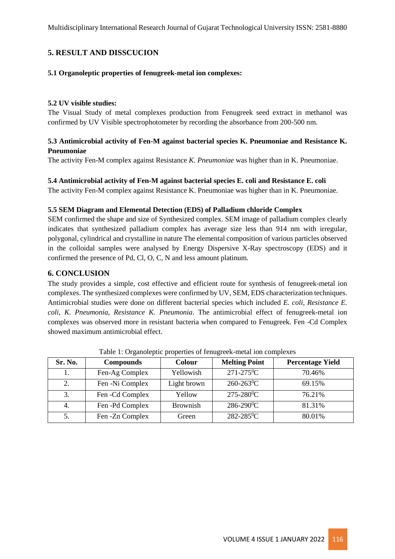# **5. RESULT AND DISSCUCION**

#### **5.1 Organoleptic properties of fenugreek-metal ion complexes:**

#### **5.2 UV visible studies:**

The Visual Study of metal complexes production from Fenugreek seed extract in methanol was confirmed by UV Visible spectrophotometer by recording the absorbance from 200-500 nm.

## **5.3 Antimicrobial activity of Fen-M against bacterial species K. Pneumoniae and Resistance K. Pneumoniae**

The activity Fen-M complex against Resistance *K. Pneumoniae* was higher than in K. Pneumoniae.

#### **5.4 Antimicrobial activity of Fen-M against bacterial species E. coli and Resistance E. coli**

The activity Fen-M complex against Resistance K. Pneumoniae was higher than in K. Pneumoniae.

#### **5.5 SEM Diagram and Elemental Detection (EDS) of Palladium chloride Complex**

SEM confirmed the shape and size of Synthesized complex. SEM image of palladium complex clearly indicates that synthesized palladium complex has average size less than 914 nm with irregular, polygonal, cylindrical and crystalline in nature The elemental composition of various particles observed in the colloidal samples were analysed by Energy Dispersive X-Ray spectroscopy (EDS) and it confirmed the presence of Pd, Cl, O, C, N and less amount platinum.

#### **6. CONCLUSION**

The study provides a simple, cost effective and efficient route for synthesis of fenugreek-metal ion complexes. The synthesized complexes were confirmed by UV, SEM, EDS characterization techniques. Antimicrobial studies were done on different bacterial species which included *E. coli*, *Resistance E. coli*, *K. Pneumonia*, *Resistance K. Pneumonia*. The antimicrobial effect of fenugreek-metal ion complexes was observed more in resistant bacteria when compared to Fenugreek. Fen -Cd Complex showed maximum antimicrobial effect.

| Sr. No. | <b>Compounds</b> | Colour          | <b>Melting Point</b>       | <b>Percentage Yield</b> |
|---------|------------------|-----------------|----------------------------|-------------------------|
|         | Fen-Ag Complex   | Yellowish       | $271 - 275$ <sup>o</sup> C | 70.46%                  |
| 2.      | Fen -Ni Complex  | Light brown     | $260 - 263$ <sup>o</sup> C | 69.15%                  |
| 3.      | Fen - Cd Complex | Yellow          | $275 - 280$ <sup>o</sup> C | 76.21%                  |
| 4.      | Fen -Pd Complex  | <b>Brownish</b> | $286 - 290$ <sup>o</sup> C | 81.31%                  |
| 5.      | Fen - Zn Complex | Green           | 282-285 <sup>0</sup> C     | 80.01%                  |

Table 1: Organoleptic properties of fenugreek-metal ion complexes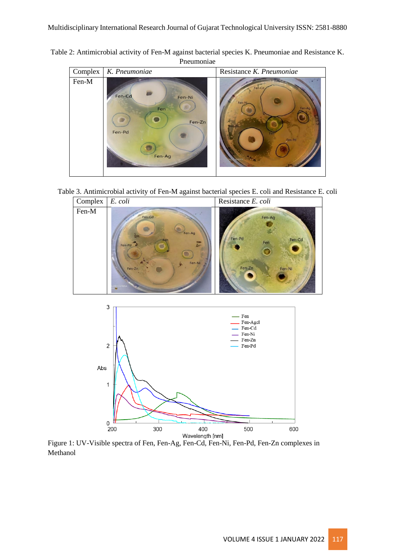Table 2: Antimicrobial activity of Fen-M against bacterial species K. Pneumoniae and Resistance K. Pneumoniae



Table 3. Antimicrobial activity of Fen-M against bacterial species E. coli and Resistance E. coli





Figure 1: UV-Visible spectra of Fen, Fen-Ag, Fen-Cd, Fen-Ni, Fen-Pd, Fen-Zn complexes in Methanol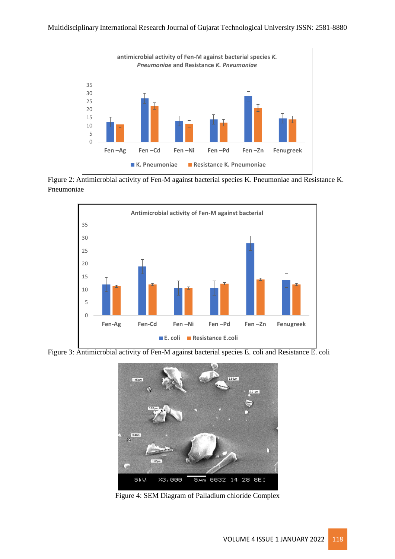

Figure 2: Antimicrobial activity of Fen-M against bacterial species K. Pneumoniae and Resistance K. Pneumoniae



Figure 3: Antimicrobial activity of Fen-M against bacterial species E. coli and Resistance E. coli



Figure 4: SEM Diagram of Palladium chloride Complex